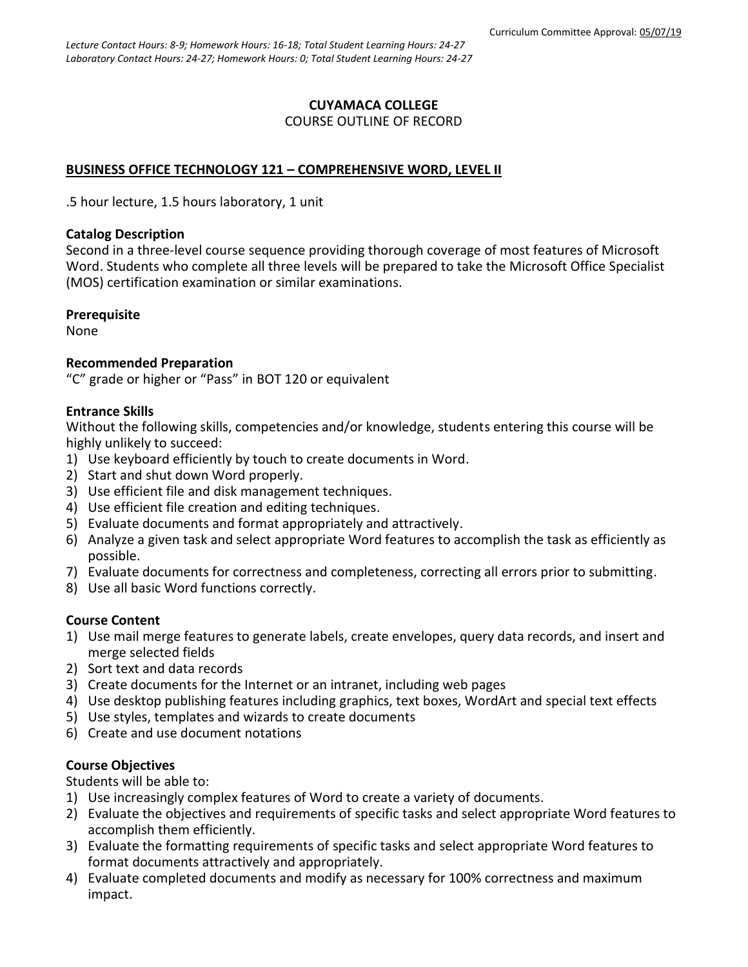# **CUYAMACA COLLEGE** COURSE OUTLINE OF RECORD

# **BUSINESS OFFICE TECHNOLOGY 121 – COMPREHENSIVE WORD, LEVEL II**

.5 hour lecture, 1.5 hours laboratory, 1 unit

## **Catalog Description**

Second in a three-level course sequence providing thorough coverage of most features of Microsoft Word. Students who complete all three levels will be prepared to take the Microsoft Office Specialist (MOS) certification examination or similar examinations.

## **Prerequisite**

None

## **Recommended Preparation**

"C" grade or higher or "Pass" in BOT 120 or equivalent

## **Entrance Skills**

Without the following skills, competencies and/or knowledge, students entering this course will be highly unlikely to succeed:

- 1) Use keyboard efficiently by touch to create documents in Word.
- 2) Start and shut down Word properly.
- 3) Use efficient file and disk management techniques.
- 4) Use efficient file creation and editing techniques.
- 5) Evaluate documents and format appropriately and attractively.
- 6) Analyze a given task and select appropriate Word features to accomplish the task as efficiently as possible.
- 7) Evaluate documents for correctness and completeness, correcting all errors prior to submitting.
- 8) Use all basic Word functions correctly.

## **Course Content**

- 1) Use mail merge features to generate labels, create envelopes, query data records, and insert and merge selected fields
- 2) Sort text and data records
- 3) Create documents for the Internet or an intranet, including web pages
- 4) Use desktop publishing features including graphics, text boxes, WordArt and special text effects
- 5) Use styles, templates and wizards to create documents
- 6) Create and use document notations

# **Course Objectives**

Students will be able to:

- 1) Use increasingly complex features of Word to create a variety of documents.
- 2) Evaluate the objectives and requirements of specific tasks and select appropriate Word features to accomplish them efficiently.
- 3) Evaluate the formatting requirements of specific tasks and select appropriate Word features to format documents attractively and appropriately.
- 4) Evaluate completed documents and modify as necessary for 100% correctness and maximum impact.